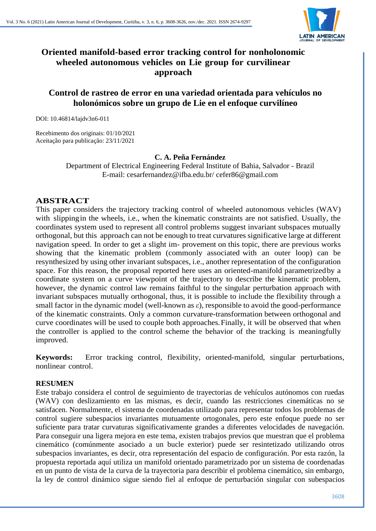

# **Oriented manifold-based error tracking control for nonholonomic wheeled autonomous vehicles on Lie group for curvilinear approach**

## **Control de rastreo de error en una variedad orientada para vehículos no holonómicos sobre un grupo de Lie en el enfoque curvilíneo**

DOI: 10.46814/lajdv3n6-011

Recebimento dos originais: 01/10/2021 Aceitação para publicação: 23/11/2021

#### **C. A. Peña Fernández**

Department of Electrical Engineering Federal Institute of Bahia, Salvador - Brazil E-mail: cesarfernandez@ifba.edu.br/ cefer86@gmail.com

## **ABSTRACT**

This paper considers the trajectory tracking control of wheeled autonomous vehicles (WAV) with slippingin the wheels, i.e., when the kinematic constraints are not satisfied. Usually, the coordinates system used to represent all control problems suggest invariant subspaces mutually orthogonal, but this approach can not be enough to treat curvatures significative large at different navigation speed. In order to get a slight im- provement on this topic, there are previous works showing that the kinematic problem (commonly associated with an outer loop) can be resynthesized by using other invariant subspaces, i.e., another representation of the configuration space. For this reason, the proposal reported here uses an oriented-manifold parametrizedby a coordinate system on a curve viewpoint of the trajectory to describe the kinematic problem, however, the dynamic control law remains faithful to the singular perturbation approach with invariant subspaces mutually orthogonal, thus, it is possible to include the flexibility through a small factor in the dynamic model (well-known as *ε*), responsible to avoid the good-performance of the kinematic constraints. Only a common curvature-transformation between orthogonal and curve coordinates will be used to couple both approaches.Finally, it will be observed that when the controller is applied to the control scheme the behavior of the tracking is meaningfully improved.

**Keywords:**Error tracking control, flexibility, oriented-manifold, singular perturbations, nonlinear control.

## **RESUMEN**

Este trabajo considera el control de seguimiento de trayectorias de vehículos autónomos con ruedas (WAV) con deslizamiento en las mismas, es decir, cuando las restricciones cinemáticas no se satisfacen. Normalmente, el sistema de coordenadas utilizado para representar todos los problemas de control sugiere subespacios invariantes mutuamente ortogonales, pero este enfoque puede no ser suficiente para tratar curvaturas significativamente grandes a diferentes velocidades de navegación. Para conseguir una ligera mejora en este tema, existen trabajos previos que muestran que el problema cinemático (comúnmente asociado a un bucle exterior) puede ser resintetizado utilizando otros subespacios invariantes, es decir, otra representación del espacio de configuración. Por esta razón, la propuesta reportada aquí utiliza un manifold orientado parametrizado por un sistema de coordenadas en un punto de vista de la curva de la trayectoria para describir el problema cinemático, sin embargo, la ley de control dinámico sigue siendo fiel al enfoque de perturbación singular con subespacios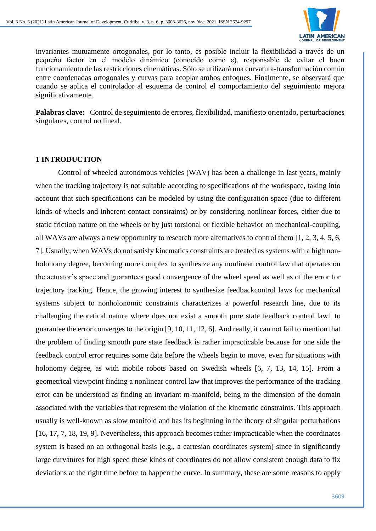

invariantes mutuamente ortogonales, por lo tanto, es posible incluir la flexibilidad a través de un pequeño factor en el modelo dinámico (conocido como ε), responsable de evitar el buen funcionamiento de las restricciones cinemáticas. Sólo se utilizará una curvatura-transformación común entre coordenadas ortogonales y curvas para acoplar ambos enfoques. Finalmente, se observará que cuando se aplica el controlador al esquema de control el comportamiento del seguimiento mejora significativamente.

**Palabras clave:** Control de seguimiento de errores, flexibilidad, manifiesto orientado, perturbaciones singulares, control no lineal.

#### **1 INTRODUCTION**

Control of wheeled autonomous vehicles (WAV) has been a challenge in last years, mainly when the tracking trajectory is not suitable according to specifications of the workspace, taking into account that such specifications can be modeled by using the configuration space (due to different kinds of wheels and inherent contact constraints) or by considering nonlinear forces, either due to static friction nature on the wheels or by just torsional or flexible behavior on mechanical-coupling, all WAVs are always a new opportunity to research more alternatives to control them [1, 2, 3, 4, 5, 6, 7]. Usually, when WAVs do not satisfy kinematics constraints are treated as systems with a high nonholonomy degree, becoming more complex to synthesize any nonlinear control law that operates on the actuator's space and guarantees good convergence of the wheel speed as well as of the error for trajectory tracking. Hence, the growing interest to synthesize feedbackcontrol laws for mechanical systems subject to nonholonomic constraints characterizes a powerful research line, due to its challenging theoretical nature where does not exist a smooth pure state feedback control law1 to guarantee the error converges to the origin [9, 10, 11, 12, 6]. And really, it can not fail to mention that the problem of finding smooth pure state feedback is rather impracticable because for one side the feedback control error requires some data before the wheels begin to move, even for situations with holonomy degree, as with mobile robots based on Swedish wheels [6, 7, 13, 14, 15]. From a geometrical viewpoint finding a nonlinear control law that improves the performance of the tracking error can be understood as finding an invariant m-manifold, being m the dimension of the domain associated with the variables that represent the violation of the kinematic constraints. This approach usually is well-known as slow manifold and has its beginning in the theory of singular perturbations [16, 17, 7, 18, 19, 9]. Nevertheless, this approach becomes rather impracticable when the coordinates system is based on an orthogonal basis (e.g., a cartesian coordinates system) since in significantly large curvatures for high speed these kinds of coordinates do not allow consistent enough data to fix deviations at the right time before to happen the curve. In summary, these are some reasons to apply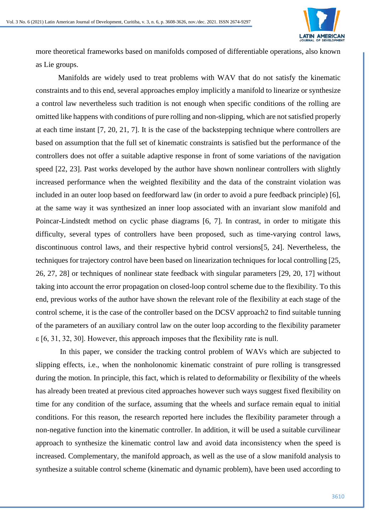

more theoretical frameworks based on manifolds composed of differentiable operations, also known as Lie groups.

Manifolds are widely used to treat problems with WAV that do not satisfy the kinematic constraints and to this end, several approaches employ implicitly a manifold to linearize or synthesize a control law nevertheless such tradition is not enough when specific conditions of the rolling are omitted like happens with conditions of pure rolling and non-slipping, which are not satisfied properly at each time instant [7, 20, 21, 7]. It is the case of the backstepping technique where controllers are based on assumption that the full set of kinematic constraints is satisfied but the performance of the controllers does not offer a suitable adaptive response in front of some variations of the navigation speed [22, 23]. Past works developed by the author have shown nonlinear controllers with slightly increased performance when the weighted flexibility and the data of the constraint violation was included in an outer loop based on feedforward law (in order to avoid a pure feedback principle) [6], at the same way it was synthesized an inner loop associated with an invariant slow manifold and Poincar-Lindstedt method on cyclic phase diagrams [6, 7]. In contrast, in order to mitigate this difficulty, several types of controllers have been proposed, such as time-varying control laws, discontinuous control laws, and their respective hybrid control versions[5, 24]. Nevertheless, the techniques for trajectory control have been based on linearization techniques for local controlling [25, 26, 27, 28] or techniques of nonlinear state feedback with singular parameters [29, 20, 17] without taking into account the error propagation on closed-loop control scheme due to the flexibility. To this end, previous works of the author have shown the relevant role of the flexibility at each stage of the control scheme, it is the case of the controller based on the DCSV approach2 to find suitable tunning of the parameters of an auxiliary control law on the outer loop according to the flexibility parameter  $\epsilon$  [6, 31, 32, 30]. However, this approach imposes that the flexibility rate is null.

In this paper, we consider the tracking control problem of WAVs which are subjected to slipping effects, i.e., when the nonholonomic kinematic constraint of pure rolling is transgressed during the motion. In principle, this fact, which is related to deformability or flexibility of the wheels has already been treated at previous cited approaches however such ways suggest fixed flexibility on time for any condition of the surface, assuming that the wheels and surface remain equal to initial conditions. For this reason, the research reported here includes the flexibility parameter through a non-negative function into the kinematic controller. In addition, it will be used a suitable curvilinear approach to synthesize the kinematic control law and avoid data inconsistency when the speed is increased. Complementary, the manifold approach, as well as the use of a slow manifold analysis to synthesize a suitable control scheme (kinematic and dynamic problem), have been used according to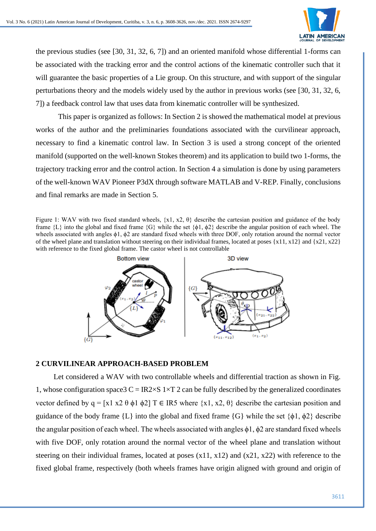

the previous studies (see [30, 31, 32, 6, 7]) and an oriented manifold whose differential 1-forms can be associated with the tracking error and the control actions of the kinematic controller such that it will guarantee the basic properties of a Lie group. On this structure, and with support of the singular perturbations theory and the models widely used by the author in previous works (see [30, 31, 32, 6, 7]) a feedback control law that uses data from kinematic controller will be synthesized.

This paper is organized as follows: In Section 2 is showed the mathematical model at previous works of the author and the preliminaries foundations associated with the curvilinear approach, necessary to find a kinematic control law. In Section 3 is used a strong concept of the oriented manifold (supported on the well-known Stokes theorem) and its application to build two 1-forms, the trajectory tracking error and the control action. In Section 4 a simulation is done by using parameters of the well-known WAV Pioneer P3dX through software MATLAB and V-REP. Finally, conclusions and final remarks are made in Section 5.

Figure 1: WAV with two fixed standard wheels,  $\{x1, x2, \theta\}$  describe the cartesian position and guidance of the body frame  ${L}$  into the global and fixed frame  ${G}$  while the set  ${\phi1, \phi2}$  describe the angular position of each wheel. The wheels associated with angles ϕ1, ϕ2 are standard fixed wheels with three DOF, only rotation around the normal vector of the wheel plane and translation without steering on their individual frames, located at poses  $\{x11, x12\}$  and  $\{x21, x22\}$ with reference to the fixed global frame. The castor wheel is not controllable



## **2 CURVILINEAR APPROACH-BASED PROBLEM**

Let considered a WAV with two controllable wheels and differential traction as shown in Fig. 1, whose configuration space  $3 \text{ C} = IR2 \times S 1 \times T 2$  can be fully described by the generalized coordinates vector defined by  $q = [x1 \ x2 \ \theta \ \phi 1 \ \phi 2] T \in IR5$  where  $\{x1, x2, \theta\}$  describe the cartesian position and guidance of the body frame  ${L}$  into the global and fixed frame  ${G}$  while the set  ${\phi_1, \phi_2}$  describe the angular position of each wheel. The wheels associated with angles  $\phi$ 1,  $\phi$ 2 are standard fixed wheels with five DOF, only rotation around the normal vector of the wheel plane and translation without steering on their individual frames, located at poses (x11, x12) and (x21, x22) with reference to the fixed global frame, respectively (both wheels frames have origin aligned with ground and origin of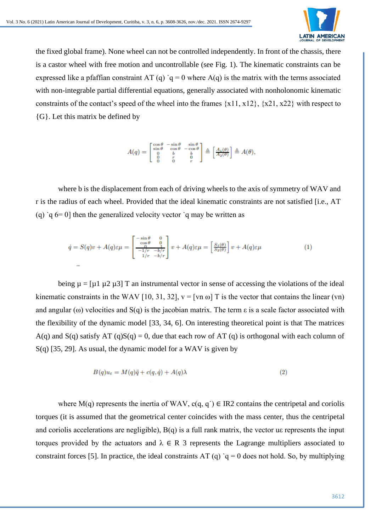

the fixed global frame). None wheel can not be controlled independently. In front of the chassis, there is a castor wheel with free motion and uncontrollable (see Fig. 1). The kinematic constraints can be expressed like a pfaffian constraint AT (q)  $q = 0$  where A(q) is the matrix with the terms associated with non-integrable partial differential equations, generally associated with nonholonomic kinematic constraints of the contact's speed of the wheel into the frames  $\{x11, x12\}$ ,  $\{x21, x22\}$  with respect to {G}. Let this matrix be defined by

$$
A(q) = \begin{bmatrix} \cos \theta & -\sin \theta & \sin \theta \\ \sin \theta & \cos \theta & -\cos \theta \\ 0 & b & b \\ 0 & 0 & r \end{bmatrix} \triangleq \begin{bmatrix} A_1(\theta) \\ A_2(\theta) \end{bmatrix} \triangleq A(\theta),
$$

where b is the displacement from each of driving wheels to the axis of symmetry of WAV and r is the radius of each wheel. Provided that the ideal kinematic constraints are not satisfied [i.e., AT (q)  $\cdot$ q 6= 0] then the generalized velocity vector  $\cdot$ q may be written as

$$
\dot{q} = S(q)v + A(q)\varepsilon\mu = \begin{bmatrix} -\sin\theta & 0\\ \cos\theta & 0\\ \frac{-\alpha\theta}{1/r} & -b/r\\ 1/r & -b/r \end{bmatrix} v + A(q)\varepsilon\mu = \begin{bmatrix} S_1(\theta)\\ S_2(\theta) \end{bmatrix} v + A(q)\varepsilon\mu
$$
\n(1)

being  $\mu = [\mu 1 \mu 2 \mu 3]$  T an instrumental vector in sense of accessing the violations of the ideal kinematic constraints in the WAV [10, 31, 32],  $v = [vn \omega]$  T is the vector that contains the linear (vn) and angular ( $\omega$ ) velocities and S(q) is the jacobian matrix. The term  $\varepsilon$  is a scale factor associated with the flexibility of the dynamic model [33, 34, 6]. On interesting theoretical point is that The matrices A(q) and S(q) satisfy AT (q)S(q) = 0, due that each row of AT (q) is orthogonal with each column of S(q) [35, 29]. As usual, the dynamic model for a WAV is given by

$$
B(q)u_{\varepsilon} = M(q)\ddot{q} + c(q, \dot{q}) + A(q)\lambda \tag{2}
$$

where M(q) represents the inertia of WAV,  $c(q, q<sup>+</sup>) \in IR2$  contains the centripetal and coriolis torques (it is assumed that the geometrical center coincides with the mass center, thus the centripetal and coriolis accelerations are negligible),  $B(q)$  is a full rank matrix, the vector us represents the input torques provided by the actuators and  $\lambda \in \mathbb{R}$  3 represents the Lagrange multipliers associated to constraint forces [5]. In practice, the ideal constraints AT (q)  $\cdot$ q = 0 does not hold. So, by multiplying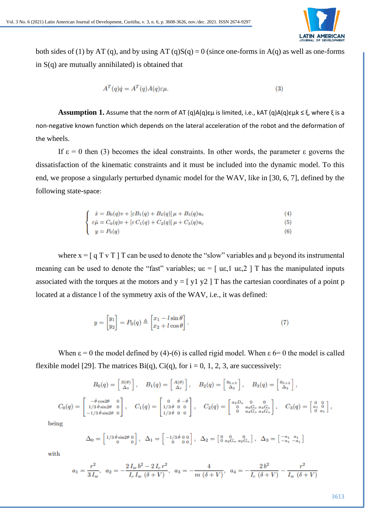

both sides of (1) by AT (q), and by using AT (q)S(q) = 0 (since one-forms in A(q) as well as one-forms in  $S(q)$  are mutually annihilated) is obtained that

$$
A^T(q)\dot{q} = A^T(q)A(q)\varepsilon\mu.
$$
\n(3)

**Assumption 1.** Assume that the norm of AT (q)A(q)εμ is limited, i.e., kAT (q)A(q)εμk  $\leq \xi$ , where  $\xi$  is a non-negative known function which depends on the lateral acceleration of the robot and the deformation of the wheels.

If  $ε = 0$  then (3) becomes the ideal constraints. In other words, the parameter  $ε$  governs the dissatisfaction of the kinematic constraints and it must be included into the dynamic model. To this end, we propose a singularly perturbed dynamic model for the WAV, like in [30, 6, 7], defined by the following state-space:

$$
\begin{cases}\n\dot{x} = B_0(q)v + \left[\varepsilon B_1(q) + B_2(q)\right]\mu + B_3(q)u_{\varepsilon} \\
\varepsilon \dot{\mu} = C_0(q)v + \left[\varepsilon C_1(q) + C_2(q)\right]\mu + C_3(q)u_{\varepsilon} \\
y = P_0(q)\n\end{cases} \tag{5}
$$

where  $x = \lceil q \rceil v \rceil$  an be used to denote the "slow" variables and  $\mu$  beyond its instrumental meaning can be used to denote the "fast" variables;  $\mu \varepsilon = \int \mu \varepsilon$ ,  $\mu \varepsilon$  and  $\mu$  and  $\mu$  manipulated inputs associated with the torques at the motors and  $y = [y1 y2]$  T has the cartesian coordinates of a point p located at a distance l of the symmetry axis of the WAV, i.e., it was defined:

$$
y = \begin{bmatrix} y_1 \\ y_2 \end{bmatrix} = P_0(q) \triangleq \begin{bmatrix} x_1 - l\sin\theta \\ x_2 + l\cos\theta \end{bmatrix}.
$$
 (7)

When  $\varepsilon = 0$  the model defined by (4)-(6) is called rigid model. When  $\varepsilon$  6= 0 the model is called flexible model [29]. The matrices  $Bi(q)$ ,  $Ci(q)$ , for  $i = 0, 1, 2, 3$ , are successively:

$$
B_0(q) = \begin{bmatrix} S(\theta) \\ \Delta_0 \end{bmatrix}, \quad B_1(q) = \begin{bmatrix} A(\theta) \\ \Delta_1 \end{bmatrix}, \quad B_2(q) = \begin{bmatrix} 0_{5 \times 3} \\ \Delta_2 \end{bmatrix}, \quad B_3(q) = \begin{bmatrix} 0_{5 \times 2} \\ \Delta_3 \end{bmatrix},
$$

$$
C_0(q) = \begin{bmatrix} -\dot{\theta} \cos 2\theta & 0 \\ 1/3 \dot{\theta} \sin 2\theta & 0 \\ -1/3 \dot{\theta} \sin 2\theta & 0 \end{bmatrix}, \quad C_1(q) = \begin{bmatrix} 0 & \dot{\theta} & -\dot{\theta} \\ 1/3 \dot{\theta} & 0 & 0 \\ 1/3 \dot{\theta} & 0 & 0 \end{bmatrix}, \quad C_2(q) = \begin{bmatrix} a_3 D_o & 0 & 0 \\ 0 & a_4 G_o & a_4 G_o \\ 0 & a_4 G_o & a_4 G_o \end{bmatrix}, \quad C_3(q) = \begin{bmatrix} 0 & 0 \\ a_1 & 0 \\ 0 & a_1 \end{bmatrix},
$$

being

$$
\Delta_0 = \begin{bmatrix} 1/3 \dot{\theta} \sin 2\theta & 0 \\ 0 & 0 \end{bmatrix}, \ \ \Delta_1 = \begin{bmatrix} -1/3 \dot{\theta} & 0 & 0 \\ 0 & 0 & 0 \end{bmatrix}, \ \ \Delta_2 = \begin{bmatrix} 0 & 0 & 0 \\ 0 & a_2 G_o & a_2 G_o \end{bmatrix}, \ \ \Delta_3 = \begin{bmatrix} -a_1 & a_1 \\ -a_1 & -a_1 \end{bmatrix}
$$

with

$$
a_1 = \frac{r^2}{3 I_w}, \ \ a_2 = -\frac{2 I_w b^2 - 2 I_c r^2}{I_c I_w (\delta + V)}, \ \ a_3 = -\frac{4}{m (\delta + V)}, \ \ a_4 = -\frac{2 b^2}{I_c (\delta + V)} - \frac{r^2}{I_w (\delta + V)}
$$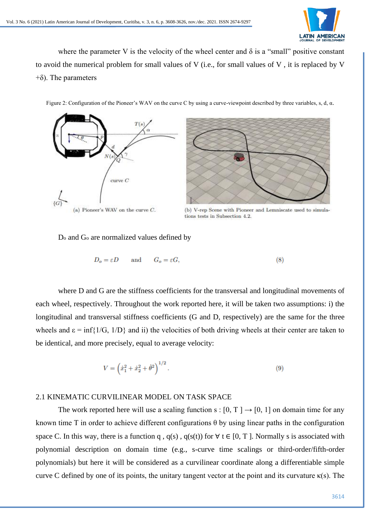

where the parameter V is the velocity of the wheel center and  $\delta$  is a "small" positive constant to avoid the numerical problem for small values of V (i.e., for small values of V , it is replaced by V  $+\delta$ ). The parameters

Figure 2: Configuration of the Pioneer's WAV on the curve C by using a curve-viewpoint described by three variables, s, d, α.



(a) Pioneer's WAV on the curve  $C$ .



(b) V-rep Scene with Pioneer and Lemniscate used to simulations tests in Subsection 4.2.

D<sup>o</sup> and G<sup>o</sup> are normalized values defined by

$$
D_o = \varepsilon D \qquad \text{and} \qquad G_o = \varepsilon G,\tag{8}
$$

where D and G are the stiffness coefficients for the transversal and longitudinal movements of each wheel, respectively. Throughout the work reported here, it will be taken two assumptions: i) the longitudinal and transversal stiffness coefficients (G and D, respectively) are the same for the three wheels and  $\varepsilon = \inf\{1/G, 1/D\}$  and ii) the velocities of both driving wheels at their center are taken to be identical, and more precisely, equal to average velocity:

$$
V = \left(\dot{x}_1^2 + \dot{x}_2^2 + \dot{\theta}^2\right)^{1/2}.\tag{9}
$$

## 2.1 KINEMATIC CURVILINEAR MODEL ON TASK SPACE

The work reported here will use a scaling function s :  $[0, T] \rightarrow [0, 1]$  on domain time for any known time T in order to achieve different configurations  $\theta$  by using linear paths in the configuration space C. In this way, there is a function q,  $q(s)$ ,  $q(s(t))$  for  $\forall$  t  $\in$  [0, T]. Normally s is associated with polynomial description on domain time (e.g., s-curve time scalings or third-order/fifth-order polynomials) but here it will be considered as a curvilinear coordinate along a differentiable simple curve C defined by one of its points, the unitary tangent vector at the point and its curvature  $\kappa(s)$ . The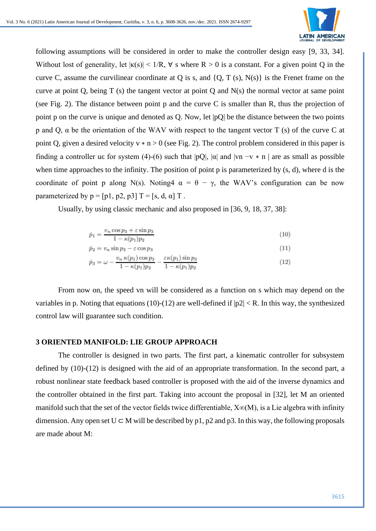

following assumptions will be considered in order to make the controller design easy [9, 33, 34]. Without lost of generality, let  $|\kappa(s)| \leq 1/R$ ,  $\forall$  s where  $R > 0$  is a constant. For a given point Q in the curve C, assume the curvilinear coordinate at Q is s, and  $\{Q, T (s), N(s)\}\$ is the Frenet frame on the curve at point Q, being T (s) the tangent vector at point Q and N(s) the normal vector at same point (see Fig. 2). The distance between point p and the curve C is smaller than R, thus the projection of point p on the curve is unique and denoted as Q. Now, let |pQ| be the distance between the two points p and Q,  $\alpha$  be the orientation of the WAV with respect to the tangent vector T (s) of the curve C at point Q, given a desired velocity  $v * n > 0$  (see Fig. 2). The control problem considered in this paper is finding a controller us for system (4)-(6) such that  $|pQ|$ ,  $|a|$  and  $|vn - v * n|$  are as small as possible when time approaches to the infinity. The position of point p is parameterized by (s, d), where d is the coordinate of point p along N(s). Noting4  $\alpha = \theta - \gamma$ , the WAV's configuration can be now parameterized by  $p = [p1, p2, p3]$  T = [s, d, a] T.

Usually, by using classic mechanic and also proposed in [36, 9, 18, 37, 38]:

$$
\dot{p}_1 = \frac{v_n \cos p_3 + \varepsilon \sin p_3}{1 - \kappa (p_1)p_2} \tag{10}
$$

$$
\dot{p}_2 = v_n \sin p_3 - \varepsilon \cos p_3 \tag{11}
$$

$$
\dot{p}_3 = \omega - \frac{v_n \,\kappa(p_1) \cos p_3}{1 - \kappa(p_1)p_2} - \frac{\varepsilon \kappa(p_1) \sin p_3}{1 - \kappa(p_1)p_2} \tag{12}
$$

From now on, the speed vn will be considered as a function on s which may depend on the variables in p. Noting that equations (10)-(12) are well-defined if  $|p2| < R$ . In this way, the synthesized control law will guarantee such condition.

## **3 ORIENTED MANIFOLD: LIE GROUP APPROACH**

The controller is designed in two parts. The first part, a kinematic controller for subsystem defined by (10)-(12) is designed with the aid of an appropriate transformation. In the second part, a robust nonlinear state feedback based controller is proposed with the aid of the inverse dynamics and the controller obtained in the first part. Taking into account the proposal in [32], let M an oriented manifold such that the set of the vector fields twice differentiable, X∞(M), is a Lie algebra with infinity dimension. Any open set  $U \subset M$  will be described by p1, p2 and p3. In this way, the following proposals are made about M: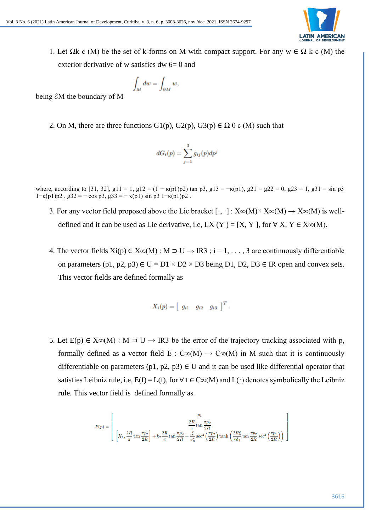

1. Let  $\Omega$ k c (M) be the set of k-forms on M with compact support. For any w  $\in \Omega$  k c (M) the exterior derivative of w satisfies dw 6= 0 and

$$
\int_M dw = \int_{\partial M} w,
$$

being ∂M the boundary of M

2. On M, there are three functions  $G1(p)$ ,  $G2(p)$ ,  $G3(p) \in \Omega$  0 c (M) such that

$$
dG_i(p) = \sum_{j=1}^{3} g_{ij}(p) dp^j
$$

where, according to [31, 32], g11 = 1, g12 =  $(1 - \kappa(p1)p2)$  tan p3, g13 =  $-\kappa(p1)$ , g21 = g22 = 0, g23 = 1, g31 = sin p3  $1-\kappa(p1)p2$ ,  $g32 = -\cos p3$ ,  $g33 = -\kappa(p1)\sin p31-\kappa(p1)p2$ .

- 3. For any vector field proposed above the Lie bracket  $[\cdot, \cdot] : X \infty(M) \times X \infty(M) \to X \infty(M)$  is welldefined and it can be used as Lie derivative, i.e, LX (Y) = [X, Y], for  $\forall$  X, Y  $\in$  X $\infty$ (M).
- 4. The vector fields  $Xi(p) \in X\infty(M)$  : M ⊃ U → IR3 ; i = 1, . . . , 3 are continuously differentiable on parameters (p1, p2, p3)  $\in$  U = D1 × D2 × D3 being D1, D2, D3  $\in$  IR open and convex sets. This vector fields are defined formally as

$$
X_i(p) = \left[ \begin{array}{ccc} g_{i1} & g_{i2} & g_{i3} \end{array} \right]^T.
$$

5. Let E(p) ∈ X∞(M) : M  $\supset$  U  $\rightarrow$  IR3 be the error of the trajectory tracking associated with p, formally defined as a vector field  $E: C\infty(M) \to C\infty(M)$  in M such that it is continuously differentiable on parameters (p1, p2, p3)  $\in$  U and it can be used like differential operator that satisfies Leibniz rule, i.e,  $E(f) = L(f)$ , for  $\forall f \in C \infty(M)$  and  $L(\cdot)$  denotes symbolically the Leibniz rule. This vector field is defined formally as

$$
E(p)=\left[\begin{array}{c} p_1\\ \\ \left[X_1,\frac{2R}{\pi}\tan\frac{\pi p_2}{2R}\right]+k_2\frac{2R}{\pi}\tan\frac{\pi p_2}{2R}+\frac{\xi}{v_n^*}\sec^2\left(\frac{\pi p_2}{2R}\right)\tanh\left(\frac{2R\xi}{\pi\delta_1}\tan\frac{\pi p_2}{2R}\sec^2\left(\frac{\pi p_2}{2R}\right)\right)\end{array}\right]
$$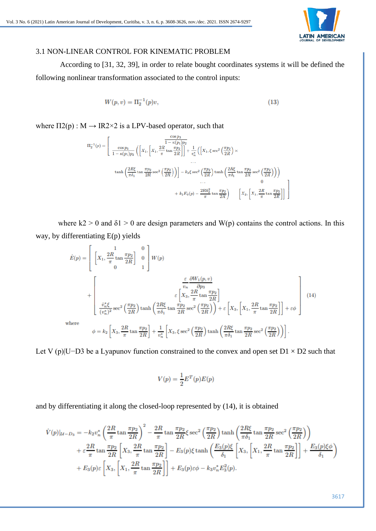

## 3.1 NON-LINEAR CONTROL FOR KINEMATIC PROBLEM

According to [31, 32, 39], in order to relate bought coordinates systems it will be defined the following nonlinear transformation associated to the control inputs:

$$
W(p, v) = \Pi_2^{-1}(p)v,
$$
\n(13)

where  $\Pi 2(p)$ :  $M \rightarrow IR2 \times 2$  is a LPV-based operator, such that

$$
\Pi_2^{-1}(p) = \begin{bmatrix}\n\frac{\cos p_3}{1 - \kappa(p_1)p_2} \\
\frac{\cos p_3}{1 - \kappa(p_1)p_2} \left( \left[ X_1, \left[ X_1, \frac{2R}{\pi} \tan \frac{\pi p_2}{2R} \right] \right] + \frac{1}{v_n^*} \left( \left[ X_1, \xi \sec^2 \left( \frac{\pi p_2}{2R} \right) \times \cdots \right] \right) \\
\cdots \\
\frac{\cos p_3}{1 - \kappa(p_1)p_2} \left( \frac{\pi p_2}{2R} \tan \frac{\pi p_2}{2R} \sec^2 \left( \frac{\pi p_2}{2R} \right) \right) \right) \\
\cdots \\
\frac{\cos p_3}{1 - \kappa(p_1)p_2} \sec^2 \left( \frac{\pi p_2}{2R} \right) \right) \\
\cdots \\
\frac{\cos p_3}{1 - \kappa(p_2)p_2} \tan \left( \frac{2R\xi}{\pi \delta_1} \tan \frac{\pi p_2}{2R} \tan \frac{\pi p_2}{2R} \right) \\
\cdots \\
\frac{\cos p_3}{1 - \kappa(p_1)p_2} \left( \frac{1}{2R} \tan \frac{\pi p_2}{2R} \tan \frac{\pi p_2}{2R} \right) \right)
$$

where  $k2 > 0$  and  $\delta$ 1 > 0 are design parameters and W(p) contains the control actions. In this way, by differentiating E(p) yields

$$
\dot{E}(p) = \left[ \begin{bmatrix} 1 & 0 \\ \left[ X_1, \frac{2R}{\pi} \tan \frac{\pi p_2}{2R} \right] & 0 \\ 0 & 1 \end{bmatrix} W(p) \right]
$$
  
+
$$
\left[ \begin{bmatrix} \frac{\varepsilon}{v_n} \frac{\partial W_1(p, v)}{\partial p_3} \\ \frac{\dot{v}_n^* \xi}{(v_n^*)^2} \sec^2 \left( \frac{\pi p_2}{2R} \right) \tanh \left( \frac{2R\xi}{\pi \delta_1} \tan \frac{\pi p_2}{2R} \sec^2 \left( \frac{\pi p_2}{2R} \right) \right) + \varepsilon \left[ X_3, \left[ X_1, \frac{2R}{\pi} \tan \frac{\pi p_2}{2R} \right] \right] + \varepsilon \phi \end{bmatrix} \right] (14)
$$
  
where  

$$
\phi = k_2 \left[ X_3, \frac{2R}{\pi} \tan \frac{\pi p_2}{2R} \right] + \frac{1}{v_n^*} \left[ X_3, \xi \sec^2 \left( \frac{\pi p_2}{2R} \right) \tanh \left( \frac{2R\xi}{\pi \delta_1} \tan \frac{\pi p_2}{2R} \sec^2 \left( \frac{\pi p_2}{2R} \right) \right) \right].
$$

Let V (p)|U−D3 be a Lyapunov function constrained to the convex and open set D1 × D2 such that

$$
V(p)=\frac{1}{2}E^T(p)E(p)
$$

and by differentiating it along the closed-loop represented by (14), it is obtained

$$
\dot{V}(p)|_{\mathcal{U}-D_3} = -k_2 v_n^* \left(\frac{2R}{\pi} \tan \frac{\pi p_2}{2R}\right)^2 - \frac{2R}{\pi} \tan \frac{\pi p_2}{2R} \xi \sec^2 \left(\frac{\pi p_2}{2R}\right) \tanh \left(\frac{2R\xi}{\pi \delta_1} \tan \frac{\pi p_2}{2R} \sec^2 \left(\frac{\pi p_2}{2R}\right)\right) \n+ \varepsilon \frac{2R}{\pi} \tan \frac{\pi p_2}{2R} \left[X_3, \frac{2R}{\pi} \tan \frac{\pi p_2}{2R}\right] - E_3(p)\xi \tanh \left(\frac{E_3(p)\xi}{\delta_1} \left[X_3, \left[X_1, \frac{2R}{\pi} \tan \frac{\pi p_2}{2R}\right]\right] + \frac{E_3(p)\xi\phi}{\delta_1}\right) \n+ E_3(p)\varepsilon \left[X_3, \left[X_1, \frac{2R}{\pi} \tan \frac{\pi p_2}{2R}\right]\right] + E_3(p)\varepsilon\phi - k_3 v_n^* E_3^2(p).
$$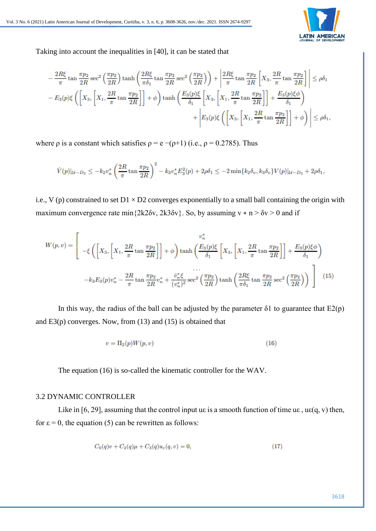

Taking into account the inequalities in [40], it can be stated that

$$
-\frac{2R\xi}{\pi}\tan\frac{\pi p_2}{2R}\sec^2\left(\frac{\pi p_2}{2R}\right)\tanh\left(\frac{2R\xi}{\pi\delta_1}\tan\frac{\pi p_2}{2R}\sec^2\left(\frac{\pi p_2}{2R}\right)\right)+\left|\frac{2R\xi}{\pi}\tan\frac{\pi p_2}{2R}\left[X_3,\frac{2R}{\pi}\tan\frac{\pi p_2}{2R}\right]\right|\le\rho\delta_1
$$

$$
-E_3(p)\xi\left(\left[X_3,\left[X_1,\frac{2R}{\pi}\tan\frac{\pi p_2}{2R}\right]\right]+\phi\right)\tanh\left(\frac{E_3(p)\xi}{\delta_1}\left[X_3,\left[X_1,\frac{2R}{\pi}\tan\frac{\pi p_2}{2R}\right]\right]+\frac{E_3(p)\xi\phi}{\delta_1}\right)
$$

$$
+\left|E_3(p)\xi\left(\left[X_3,\left[X_1,\frac{2R}{\pi}\tan\frac{\pi p_2}{2R}\right]\right]+\phi\right)\right|\le\rho\delta_1,
$$

where  $\rho$  is a constant which satisfies  $\rho = e - (\rho + 1)$  (i.e.,  $\rho = 0.2785$ ). Thus

$$
\dot{V}(p)|_{\mathcal{U}-D_3} \le -k_2 v_n^* \left(\frac{2R}{\pi} \tan \frac{\pi p_2}{2R}\right)^2 - k_3 v_n^* E_3^2(p) + 2\rho \delta_1 \le -2 \min\{k_2 \delta_v, k_3 \delta_v\} V(p)|_{\mathcal{U}-D_3} + 2\rho \delta_1,
$$

i.e., V (p) constrained to set  $D1 \times D2$  converges exponentially to a small ball containing the origin with maximum convergence rate min ${2k2\delta v, 2k3\delta v}$ . So, by assuming  $v * n > \delta v > 0$  and if

$$
W(p,v) = \begin{bmatrix} v_n^* \\ -\xi \left( \left[ X_3, \left[ X_1, \frac{2R}{\pi} \tan \frac{\pi p_2}{2R} \right] \right] + \phi \right) \tanh \left( \frac{E_3(p)\xi}{\delta_1} \left[ X_3, \left[ X_1, \frac{2R}{\pi} \tan \frac{\pi p_2}{2R} \right] \right] + \frac{E_3(p)\xi\phi}{\delta_1} \right) \end{bmatrix}
$$

$$
-k_3 E_3(p) v_n^* - \frac{2R}{\pi} \tan \frac{\pi p_2}{2R} v_n^* + \frac{\dot{v}_n^* \xi}{(v_n^*)^2} \sec^2 \left( \frac{\pi p_2}{2R} \right) \tanh \left( \frac{2R\xi}{\pi \delta_1} \tan \frac{\pi p_2}{2R} \sec^2 \left( \frac{\pi p_2}{2R} \right) \right) \end{bmatrix}
$$
(15)

In this way, the radius of the ball can be adjusted by the parameter  $\delta$ 1 to guarantee that  $E_2(p)$ and  $E3(p)$  converges. Now, from  $(13)$  and  $(15)$  is obtained that

$$
v = \Pi_2(p)W(p, v) \tag{16}
$$

The equation (16) is so-called the kinematic controller for the WAV.

#### 3.2 DYNAMIC CONTROLLER

Like in [6, 29], assuming that the control input us is a smooth function of time us, us(q, v) then, for  $\varepsilon = 0$ , the equation (5) can be rewritten as follows:

$$
C_0(q)v + C_2(q)\mu + C_3(q)u_{\varepsilon}(q, v) = 0, \qquad (17)
$$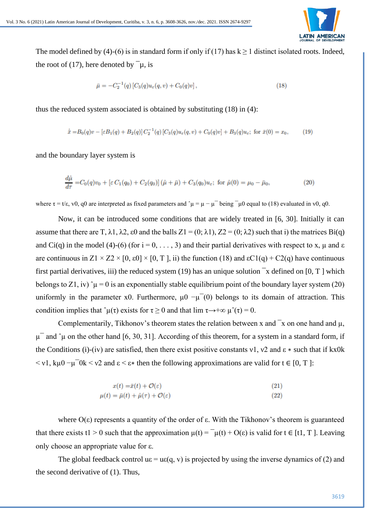

The model defined by (4)-(6) is in standard form if only if (17) has  $k \ge 1$  distinct isolated roots. Indeed, the root of (17), here denoted by  $\bar{u}$ , is

$$
\bar{\mu} = -C_2^{-1}(q) \left[ C_3(q) u_{\varepsilon}(q, v) + C_0(q) v \right],\tag{18}
$$

thus the reduced system associated is obtained by substituting (18) in (4):

$$
\dot{\bar{x}} = B_0(q)v - \left[\varepsilon B_1(q) + B_2(q)\right]C_2^{-1}(q)\left[C_3(q)u_{\varepsilon}(q, v) + C_0(q)v\right] + B_3(q)u_{\varepsilon}; \text{ for } \bar{x}(0) = x_0,\tag{19}
$$

and the boundary layer system is

$$
\frac{d\hat{\mu}}{d\tau} = C_0(q)v_0 + \left[\varepsilon C_1(q_0) + C_2(q_0)\right](\hat{\mu} + \bar{\mu}) + C_3(q_0)u_\varepsilon; \text{ for } \hat{\mu}(0) = \mu_0 - \bar{\mu}_0,
$$
\n(20)

where  $\tau = t/\varepsilon$ , v0, q0 are interpreted as fixed parameters and  $\mu = \mu - \mu^{-}$  being  $\mu = \mu - \mu^{0}$  equal to (18) evaluated in v0, q0.

Now, it can be introduced some conditions that are widely treated in [6, 30]. Initially it can assume that there are T,  $\lambda$ 1,  $\lambda$ 2,  $\varepsilon$ 0 and the balls Z1 = (0;  $\lambda$ 1), Z2 = (0;  $\lambda$ 2) such that i) the matrices Bi(q) and Ci(q) in the model (4)-(6) (for  $i = 0, \ldots, 3$ ) and their partial derivatives with respect to x,  $\mu$  and  $\varepsilon$ are continuous in  $Z1 \times Z2 \times [0, \epsilon 0] \times [0, T]$ , ii) the function (18) and  $\epsilon C1(q) + C2(q)$  have continuous first partial derivatives, iii) the reduced system (19) has an unique solution  $\bar{x}$  defined on [0, T ] which belongs to Z1, iv)  $\mu = 0$  is an exponentially stable equilibrium point of the boundary layer system (20) uniformly in the parameter x0. Furthermore,  $\mu$ 0 – $\mu$ <sup>-</sup>(0) belongs to its domain of attraction. This condition implies that  $\hat{\mu}(\tau)$  exists for  $\tau \ge 0$  and that  $\lim \tau \to +\infty$   $\mu(\tau) = 0$ .

Complementarily, Tikhonov's theorem states the relation between x and  $\bar{x}$  on one hand and  $\mu$ ,  $\mu$ <sup>-</sup> and  $\mu$  on the other hand [6, 30, 31]. According of this theorem, for a system in a standard form, if the Conditions (i)-(iv) are satisfied, then there exist positive constants v1, v2 and  $\epsilon$  \* such that if kx0k  $\langle v_1, k_1 u_0 - u_0 k \rangle \langle v_1 u_1 + v_2 u_2 \rangle$  and  $\varepsilon \langle \varepsilon \rangle$  then the following approximations are valid for  $t \in [0, T]$ :

$$
x(t) = \bar{x}(t) + \mathcal{O}(\varepsilon)
$$
  
\n
$$
\mu(t) = \bar{\mu}(t) + \hat{\mu}(\tau) + \mathcal{O}(\varepsilon)
$$
\n(22)

where  $O(\epsilon)$  represents a quantity of the order of  $\epsilon$ . With the Tikhonov's theorem is guaranteed that there exists t1 > 0 such that the approximation  $\mu(t) = \mu(t) + O(\epsilon)$  is valid for  $t \in [t1, T]$ . Leaving only choose an appropriate value for ε.

The global feedback control  $ue = ue(q, v)$  is projected by using the inverse dynamics of (2) and the second derivative of (1). Thus,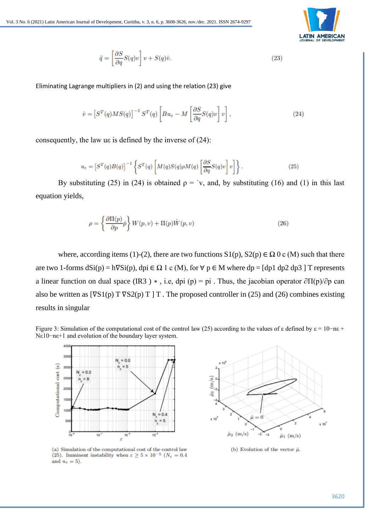

$$
\ddot{q} = \left[\frac{\partial S}{\partial q}S(q)v\right]v + S(q)\dot{v}.
$$
\n(23)

Eliminating Lagrange multipliers in (2) and using the relation (23) give

$$
\dot{v} = \left[S^T(q)MS(q)\right]^{-1} S^T(q) \left[Bu_{\varepsilon} - M\left[\frac{\partial S}{\partial q}S(q)v\right]v\right],\tag{24}
$$

consequently, the law uε is defined by the inverse of (24):

$$
u_{\varepsilon} = \left[S^{T}(q)B(q)\right]^{-1} \left\{ S^{T}(q) \left[M(q)S(q)\rho M(q)\left[\frac{\partial S}{\partial q}S(q)v\right]v\right] \right\}.
$$
 (25)

By substituting (25) in (24) is obtained  $\rho = v$ , and, by substituting (16) and (1) in this last equation yields,

$$
\rho = \left\{ \frac{\partial \Pi(p)}{\partial p} \dot{p} \right\} W(p, v) + \Pi(p) \dot{W}(p, v) \tag{26}
$$

where, according items (1)-(2), there are two functions  $S1(p)$ ,  $S2(p) \in \Omega$  0 c (M) such that there are two 1-forms  $dSi(p) = h\nabla Si(p)$ , dpi  $\in \Omega$  1 c (M), for  $\forall p \in M$  where dp = [dp1 dp2 dp3 ] T represents a linear function on dual space (IR3 )  $*$ , i.e, dpi (p) = pi . Thus, the jacobian operator  $\partial\Pi(p)/\partial p$  can also be written as  $[\nabla S1(p) \text{ T } \nabla S2(p) \text{ T }]$ . The proposed controller in (25) and (26) combines existing results in singular

Figure 3: Simulation of the computational cost of the control law (25) according to the values of  $\varepsilon$  defined by  $\varepsilon = 10$ −n $\varepsilon$  + Nε10−nε+1 and evolution of the boundary layer system.



(a) Simulation of the computational cost of the control law (25). Imminent instability when  $\varepsilon \geq 5 \times 10^{-5}$  ( $N_{\varepsilon} = 0.4$ and  $n_{\varepsilon} = 5$ ).

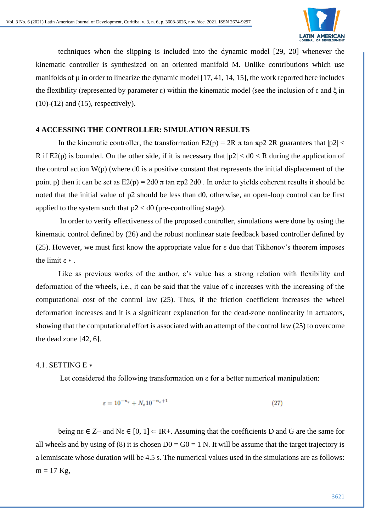

techniques when the slipping is included into the dynamic model [29, 20] whenever the kinematic controller is synthesized on an oriented manifold M. Unlike contributions which use manifolds of  $\mu$  in order to linearize the dynamic model [17, 41, 14, 15], the work reported here includes the flexibility (represented by parameter ε) within the kinematic model (see the inclusion of ε and ξ in  $(10)-(12)$  and  $(15)$ , respectively).

## **4 ACCESSING THE CONTROLLER: SIMULATION RESULTS**

In the kinematic controller, the transformation  $E_2(p) = 2R \pi \tan \pi p^2 2R$  guarantees that  $|p^2|$  < R if E2(p) is bounded. On the other side, if it is necessary that  $|p2| < d0 < R$  during the application of the control action  $W(p)$  (where d0 is a positive constant that represents the initial displacement of the point p) then it can be set as  $E2(p) = 2d0 \pi \tan \pi p2 2d0$ . In order to yields coherent results it should be noted that the initial value of p2 should be less than d0, otherwise, an open-loop control can be first applied to the system such that  $p2 < d0$  (pre-controlling stage).

In order to verify effectiveness of the proposed controller, simulations were done by using the kinematic control defined by (26) and the robust nonlinear state feedback based controller defined by (25). However, we must first know the appropriate value for ε due that Tikhonov's theorem imposes the limit ε ∗ .

Like as previous works of the author, ε's value has a strong relation with flexibility and deformation of the wheels, i.e., it can be said that the value of ε increases with the increasing of the computational cost of the control law (25). Thus, if the friction coefficient increases the wheel deformation increases and it is a significant explanation for the dead-zone nonlinearity in actuators, showing that the computational effort is associated with an attempt of the control law (25) to overcome the dead zone [42, 6].

#### 4.1. SETTING Ε ∗

Let considered the following transformation on ε for a better numerical manipulation:

$$
\varepsilon = 10^{-n_{\varepsilon}} + N_{\varepsilon} 10^{-n_{\varepsilon} + 1} \tag{27}
$$

being nε  $\in$  Z+ and Nε  $\in$  [0, 1]  $\subset$  IR+. Assuming that the coefficients D and G are the same for all wheels and by using of (8) it is chosen  $D0 = G0 = 1$  N. It will be assume that the target trajectory is a lemniscate whose duration will be 4.5 s. The numerical values used in the simulations are as follows:  $m = 17$  Kg,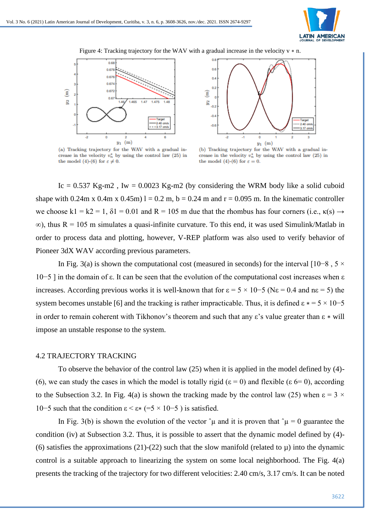

Figure 4: Tracking trajectory for the WAV with a gradual increase in the velocity  $v * n$ .



(a) Tracking trajectory for the WAV with a gradual increase in the velocity  $v_n^*$  by using the control law (25) in the model (4)-(6) for  $\varepsilon \neq 0$ .



(b) Tracking trajectory for the WAV with a gradual increase in the velocity  $v_n^*$  by using the control law (25) in the model (4)-(6) for  $\varepsilon = 0$ .

Ic =  $0.537$  Kg-m2, Iw =  $0.0023$  Kg-m2 (by considering the WRM body like a solid cuboid shape with 0.24m x 0.4m x 0.45m)  $l = 0.2$  m,  $b = 0.24$  m and  $r = 0.095$  m. In the kinematic controller we choose k1 = k2 = 1,  $\delta$ 1 = 0.01 and R = 105 m due that the rhombus has four corners (i.e.,  $\kappa(s) \rightarrow$  $\infty$ ), thus R = 105 m simulates a quasi-infinite curvature. To this end, it was used Simulink/Matlab in order to process data and plotting, however, V-REP platform was also used to verify behavior of Pioneer 3dX WAV according previous parameters.

In Fig. 3(a) is shown the computational cost (measured in seconds) for the interval [10–8, 5  $\times$ 10−5 ] in the domain of ε. It can be seen that the evolution of the computational cost increases when ε increases. According previous works it is well-known that for  $\varepsilon = 5 \times 10 - 5$  (N $\varepsilon = 0.4$  and n $\varepsilon = 5$ ) the system becomes unstable [6] and the tracking is rather impracticable. Thus, it is defined  $\epsilon$  ∗ = 5 × 10−5 in order to remain coherent with Tikhonov's theorem and such that any ε's value greater than ε ∗ will impose an unstable response to the system.

#### 4.2 TRAJECTORY TRACKING

To observe the behavior of the control law (25) when it is applied in the model defined by (4)- (6), we can study the cases in which the model is totally rigid ( $\varepsilon = 0$ ) and flexible ( $\varepsilon = 0$ ), according to the Subsection 3.2. In Fig. 4(a) is shown the tracking made by the control law (25) when  $\varepsilon = 3 \times$ 10−5 such that the condition  $\epsilon < \epsilon$  ≠ (=5 × 10−5) is satisfied.

In Fig. 3(b) is shown the evolution of the vector  $\hat{\mu}$  and it is proven that  $\hat{\mu} = 0$  guarantee the condition (iv) at Subsection 3.2. Thus, it is possible to assert that the dynamic model defined by (4)- (6) satisfies the approximations (21)-(22) such that the slow manifold (related to  $\mu$ ) into the dynamic control is a suitable approach to linearizing the system on some local neighborhood. The Fig. 4(a) presents the tracking of the trajectory for two different velocities: 2.40 cm/s, 3.17 cm/s. It can be noted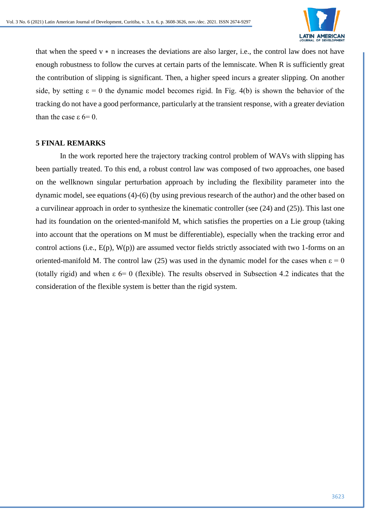

that when the speed v ∗ n increases the deviations are also larger, i.e., the control law does not have enough robustness to follow the curves at certain parts of the lemniscate. When R is sufficiently great the contribution of slipping is significant. Then, a higher speed incurs a greater slipping. On another side, by setting  $\varepsilon = 0$  the dynamic model becomes rigid. In Fig. 4(b) is shown the behavior of the tracking do not have a good performance, particularly at the transient response, with a greater deviation than the case  $ε$  6= 0.

#### **5 FINAL REMARKS**

In the work reported here the trajectory tracking control problem of WAVs with slipping has been partially treated. To this end, a robust control law was composed of two approaches, one based on the wellknown singular perturbation approach by including the flexibility parameter into the dynamic model, see equations (4)-(6) (by using previous research of the author) and the other based on a curvilinear approach in order to synthesize the kinematic controller (see (24) and (25)). This last one had its foundation on the oriented-manifold M, which satisfies the properties on a Lie group (taking into account that the operations on M must be differentiable), especially when the tracking error and control actions (i.e.,  $E(p)$ ,  $W(p)$ ) are assumed vector fields strictly associated with two 1-forms on an oriented-manifold M. The control law (25) was used in the dynamic model for the cases when  $\varepsilon = 0$ (totally rigid) and when  $\varepsilon$  6 = 0 (flexible). The results observed in Subsection 4.2 indicates that the consideration of the flexible system is better than the rigid system.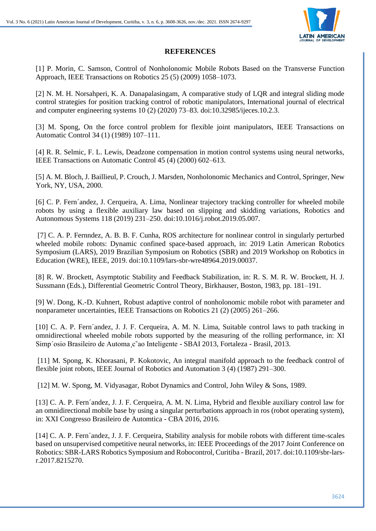

## **REFERENCES**

[1] P. Morin, C. Samson, Control of Nonholonomic Mobile Robots Based on the Transverse Function Approach, IEEE Transactions on Robotics 25 (5) (2009) 1058–1073.

[2] N. M. H. Norsahperi, K. A. Danapalasingam, A comparative study of LQR and integral sliding mode control strategies for position tracking control of robotic manipulators, International journal of electrical and computer engineering systems 10 (2) (2020) 73–83. doi:10.32985/ijeces.10.2.3.

[3] M. Spong, On the force control problem for flexible joint manipulators, IEEE Transactions on Automatic Control 34 (1) (1989) 107–111.

[4] R. R. Selmic, F. L. Lewis, Deadzone compensation in motion control systems using neural networks, IEEE Transactions on Automatic Control 45 (4) (2000) 602–613.

[5] A. M. Bloch, J. Baillieul, P. Crouch, J. Marsden, Nonholonomic Mechanics and Control, Springer, New York, NY, USA, 2000.

[6] C. P. Fern´andez, J. Cerqueira, A. Lima, Nonlinear trajectory tracking controller for wheeled mobile robots by using a flexible auxiliary law based on slipping and skidding variations, Robotics and Autonomous Systems 118 (2019) 231–250. doi:10.1016/j.robot.2019.05.007.

[7] C. A. P. Fernndez, A. B. B. F. Cunha, ROS architecture for nonlinear control in singularly perturbed wheeled mobile robots: Dynamic confined space-based approach, in: 2019 Latin American Robotics Symposium (LARS), 2019 Brazilian Symposium on Robotics (SBR) and 2019 Workshop on Robotics in Education (WRE), IEEE, 2019. doi:10.1109/lars-sbr-wre48964.2019.00037.

[8] R. W. Brockett, Asymptotic Stability and Feedback Stabilization, in: R. S. M. R. W. Brockett, H. J. Sussmann (Eds.), Differential Geometric Control Theory, Birkhauser, Boston, 1983, pp. 181–191.

[9] W. Dong, K.-D. Kuhnert, Robust adaptive control of nonholonomic mobile robot with parameter and nonparameter uncertainties, IEEE Transactions on Robotics 21 (2) (2005) 261–266.

[10] C. A. P. Fern´andez, J. J. F. Cerqueira, A. M. N. Lima, Suitable control laws to path tracking in omnidirectional wheeled mobile robots supported by the measuring of the rolling performance, in: XI Simp'osio Brasileiro de Automa c<sup>o</sup>ao Inteligente - SBAI 2013, Fortaleza - Brasil, 2013.

[11] M. Spong, K. Khorasani, P. Kokotovic, An integral manifold approach to the feedback control of flexible joint robots, IEEE Journal of Robotics and Automation 3 (4) (1987) 291–300.

[12] M. W. Spong, M. Vidyasagar, Robot Dynamics and Control, John Wiley & Sons, 1989.

[13] C. A. P. Fern´andez, J. J. F. Cerqueira, A. M. N. Lima, Hybrid and flexible auxiliary control law for an omnidirectional mobile base by using a singular perturbations approach in ros (robot operating system), in: XXI Congresso Brasileiro de Automtica - CBA 2016, 2016.

[14] C. A. P. Fern´andez, J. J. F. Cerqueira, Stability analysis for mobile robots with different time-scales based on unsupervised competitive neural networks, in: IEEE Proceedings of the 2017 Joint Conference on Robotics: SBR-LARS Robotics Symposium and Robocontrol, Curitiba - Brazil, 2017. doi:10.1109/sbr-larsr.2017.8215270.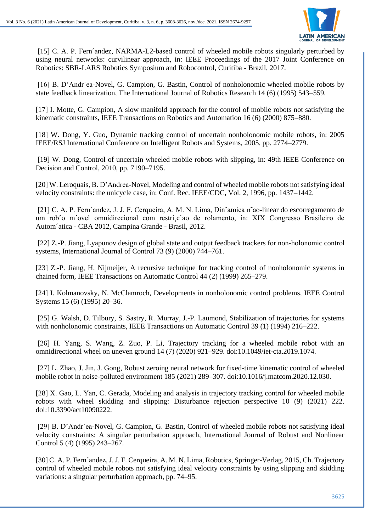

[15] C. A. P. Fern´andez, NARMA-L2-based control of wheeled mobile robots singularly perturbed by using neural networks: curvilinear approach, in: IEEE Proceedings of the 2017 Joint Conference on Robotics: SBR-LARS Robotics Symposium and Robocontrol, Curitiba - Brazil, 2017.

[16] B. D'Andr´ea-Novel, G. Campion, G. Bastin, Control of nonholonomic wheeled mobile robots by state feedback linearization, The International Journal of Robotics Research 14 (6) (1995) 543–559.

[17] I. Motte, G. Campion, A slow manifold approach for the control of mobile robots not satisfying the kinematic constraints, IEEE Transactions on Robotics and Automation 16 (6) (2000) 875–880.

[18] W. Dong, Y. Guo, Dynamic tracking control of uncertain nonholonomic mobile robots, in: 2005 IEEE/RSJ International Conference on Intelligent Robots and Systems, 2005, pp. 2774–2779.

[19] W. Dong, Control of uncertain wheeled mobile robots with slipping, in: 49th IEEE Conference on Decision and Control, 2010, pp. 7190–7195.

[20] W. Leroquais, B. D'Andrea-Novel, Modeling and control of wheeled mobile robots not satisfying ideal velocity constraints: the unicycle case, in: Conf. Rec. IEEE/CDC, Vol. 2, 1996, pp. 1437–1442.

[21] C. A. P. Fern´andez, J. J. F. Cerqueira, A. M. N. Lima, Dinˆamica n˜ao-linear do escorregamento de um robˆo m´ovel omnidirecional com restri¸c˜ao de rolamento, in: XIX Congresso Brasileiro de Autom´atica - CBA 2012, Campina Grande - Brasil, 2012.

[22] Z.-P. Jiang, Lyapunov design of global state and output feedback trackers for non-holonomic control systems, International Journal of Control 73 (9) (2000) 744–761.

[23] Z.-P. Jiang, H. Nijmeijer, A recursive technique for tracking control of nonholonomic systems in chained form, IEEE Transactions on Automatic Control 44 (2) (1999) 265–279.

[24] I. Kolmanovsky, N. McClamroch, Developments in nonholonomic control problems, IEEE Control Systems 15 (6) (1995) 20–36.

[25] G. Walsh, D. Tilbury, S. Sastry, R. Murray, J.-P. Laumond, Stabilization of trajectories for systems with nonholonomic constraints, IEEE Transactions on Automatic Control 39 (1) (1994) 216–222.

[26] H. Yang, S. Wang, Z. Zuo, P. Li, Trajectory tracking for a wheeled mobile robot with an omnidirectional wheel on uneven ground 14 (7) (2020) 921–929. doi:10.1049/iet-cta.2019.1074.

[27] L. Zhao, J. Jin, J. Gong, Robust zeroing neural network for fixed-time kinematic control of wheeled mobile robot in noise-polluted environment 185 (2021) 289–307. doi:10.1016/j.matcom.2020.12.030.

[28] X. Gao, L. Yan, C. Gerada, Modeling and analysis in trajectory tracking control for wheeled mobile robots with wheel skidding and slipping: Disturbance rejection perspective 10 (9) (2021) 222. doi:10.3390/act10090222.

[29] B. D'Andr´ea-Novel, G. Campion, G. Bastin, Control of wheeled mobile robots not satisfying ideal velocity constraints: A singular perturbation approach, International Journal of Robust and Nonlinear Control 5 (4) (1995) 243–267.

[30] C. A. P. Fern´andez, J. J. F. Cerqueira, A. M. N. Lima, Robotics, Springer-Verlag, 2015, Ch. Trajectory control of wheeled mobile robots not satisfying ideal velocity constraints by using slipping and skidding variations: a singular perturbation approach, pp. 74–95.